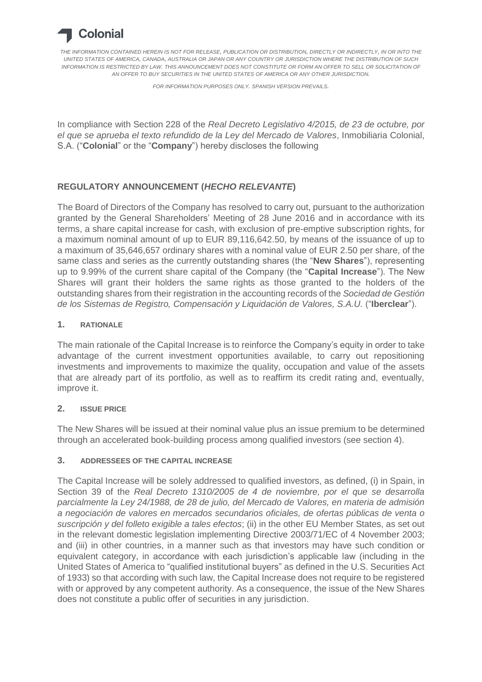

*THE INFORMATION CONTAINED HEREIN IS NOT FOR RELEASE, PUBLICATION OR DISTRIBUTION, DIRECTLY OR INDIRECTLY, IN OR INTO THE UNITED STATES OF AMERICA, CANADA, AUSTRALIA OR JAPAN OR ANY COUNTRY OR JURISDICTION WHERE THE DISTRIBUTION OF SUCH INFORMATION IS RESTRICTED BY LAW. THIS ANNOUNCEMENT DOES NOT CONSTITUTE OR FORM AN OFFER TO SELL OR SOLICITATION OF AN OFFER TO BUY SECURITIES IN THE UNITED STATES OF AMERICA OR ANY OTHER JURISDICTION.*

*FOR INFORMATION PURPOSES ONLY. SPANISH VERSION PREVAILS.*

In compliance with Section 228 of the *Real Decreto Legislativo 4/2015, de 23 de octubre, por el que se aprueba el texto refundido de la Ley del Mercado de Valores*, Inmobiliaria Colonial, S.A. ("**Colonial**" or the "**Company**") hereby discloses the following

## **REGULATORY ANNOUNCEMENT (***HECHO RELEVANTE***)**

The Board of Directors of the Company has resolved to carry out, pursuant to the authorization granted by the General Shareholders' Meeting of 28 June 2016 and in accordance with its terms, a share capital increase for cash, with exclusion of pre-emptive subscription rights, for a maximum nominal amount of up to EUR 89,116,642.50, by means of the issuance of up to a maximum of 35,646,657 ordinary shares with a nominal value of EUR 2.50 per share, of the same class and series as the currently outstanding shares (the "**New Shares**"), representing up to 9.99% of the current share capital of the Company (the "**Capital Increase**"). The New Shares will grant their holders the same rights as those granted to the holders of the outstanding shares from their registration in the accounting records of the *Sociedad de Gestión de los Sistemas de Registro, Compensación y Liquidación de Valores, S.A.U.* ("**Iberclear**").

### **1. RATIONALE**

The main rationale of the Capital Increase is to reinforce the Company's equity in order to take advantage of the current investment opportunities available, to carry out repositioning investments and improvements to maximize the quality, occupation and value of the assets that are already part of its portfolio, as well as to reaffirm its credit rating and, eventually, improve it.

### **2. ISSUE PRICE**

The New Shares will be issued at their nominal value plus an issue premium to be determined through an accelerated book-building process among qualified investors (see section 4).

### **3. ADDRESSEES OF THE CAPITAL INCREASE**

The Capital Increase will be solely addressed to qualified investors, as defined, (i) in Spain, in Section 39 of the *Real Decreto 1310/2005 de 4 de noviembre, por el que se desarrolla parcialmente la Ley 24/1988, de 28 de julio, del Mercado de Valores, en materia de admisión a negociación de valores en mercados secundarios oficiales, de ofertas públicas de venta o suscripción y del folleto exigible a tales efectos*; (ii) in the other EU Member States, as set out in the relevant domestic legislation implementing Directive 2003/71/EC of 4 November 2003; and (iii) in other countries, in a manner such as that investors may have such condition or equivalent category, in accordance with each jurisdiction's applicable law (including in the United States of America to "qualified institutional buyers" as defined in the U.S. Securities Act of 1933) so that according with such law, the Capital Increase does not require to be registered with or approved by any competent authority. As a consequence, the issue of the New Shares does not constitute a public offer of securities in any jurisdiction.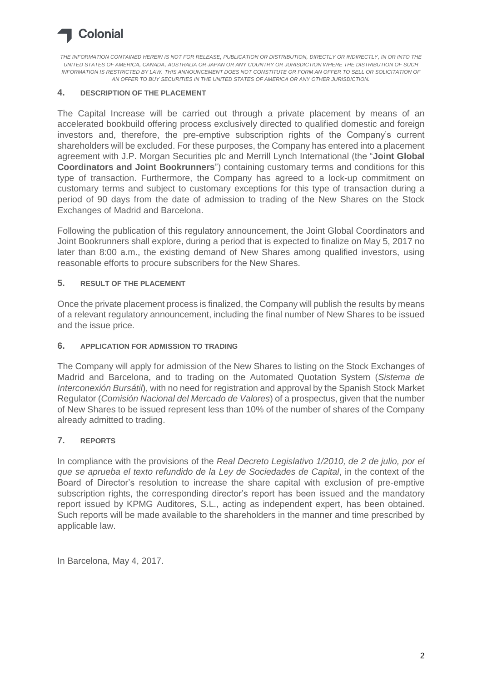# Colonial

*THE INFORMATION CONTAINED HEREIN IS NOT FOR RELEASE, PUBLICATION OR DISTRIBUTION, DIRECTLY OR INDIRECTLY, IN OR INTO THE UNITED STATES OF AMERICA, CANADA, AUSTRALIA OR JAPAN OR ANY COUNTRY OR JURISDICTION WHERE THE DISTRIBUTION OF SUCH INFORMATION IS RESTRICTED BY LAW. THIS ANNOUNCEMENT DOES NOT CONSTITUTE OR FORM AN OFFER TO SELL OR SOLICITATION OF AN OFFER TO BUY SECURITIES IN THE UNITED STATES OF AMERICA OR ANY OTHER JURISDICTION.*

### **4. DESCRIPTION OF THE PLACEMENT**

The Capital Increase will be carried out through a private placement by means of an accelerated bookbuild offering process exclusively directed to qualified domestic and foreign investors and, therefore, the pre-emptive subscription rights of the Company's current shareholders will be excluded. For these purposes, the Company has entered into a placement agreement with J.P. Morgan Securities plc and Merrill Lynch International (the "**Joint Global Coordinators and Joint Bookrunners**") containing customary terms and conditions for this type of transaction. Furthermore, the Company has agreed to a lock-up commitment on customary terms and subject to customary exceptions for this type of transaction during a period of 90 days from the date of admission to trading of the New Shares on the Stock Exchanges of Madrid and Barcelona.

Following the publication of this regulatory announcement, the Joint Global Coordinators and Joint Bookrunners shall explore, during a period that is expected to finalize on May 5, 2017 no later than 8:00 a.m., the existing demand of New Shares among qualified investors, using reasonable efforts to procure subscribers for the New Shares.

### **5. RESULT OF THE PLACEMENT**

Once the private placement process is finalized, the Company will publish the results by means of a relevant regulatory announcement, including the final number of New Shares to be issued and the issue price.

#### **6. APPLICATION FOR ADMISSION TO TRADING**

The Company will apply for admission of the New Shares to listing on the Stock Exchanges of Madrid and Barcelona, and to trading on the Automated Quotation System (*Sistema de Interconexión Bursátil*), with no need for registration and approval by the Spanish Stock Market Regulator (*Comisión Nacional del Mercado de Valores*) of a prospectus, given that the number of New Shares to be issued represent less than 10% of the number of shares of the Company already admitted to trading.

### **7. REPORTS**

In compliance with the provisions of the *Real Decreto Legislativo 1/2010, de 2 de julio, por el que se aprueba el texto refundido de la Ley de Sociedades de Capital*, in the context of the Board of Director's resolution to increase the share capital with exclusion of pre-emptive subscription rights, the corresponding director's report has been issued and the mandatory report issued by KPMG Auditores, S.L., acting as independent expert, has been obtained. Such reports will be made available to the shareholders in the manner and time prescribed by applicable law.

In Barcelona, May 4, 2017.